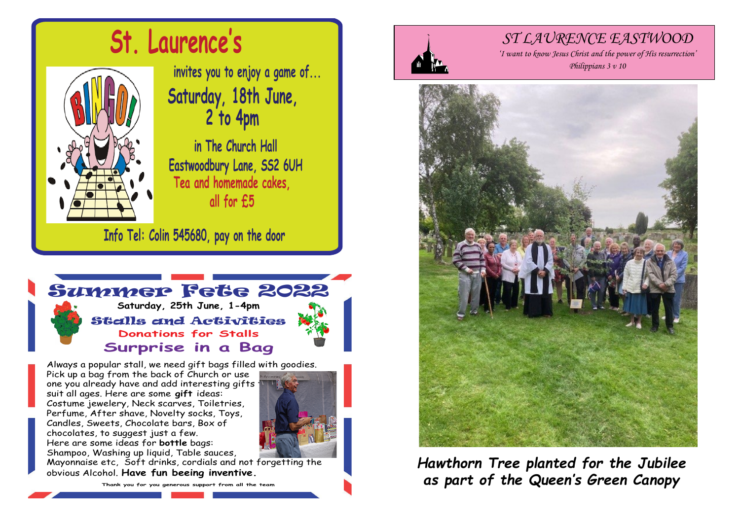

# **St. Laurence's**

**invites you to enjoy a game of... Saturday, 18th June, 2 to 4pm**

**in The Church Hall Eastwoodbury Lane, SS2 6UH Tea and homemade cakes, all for £5**

**Info Tel: Colin 545680, pay on the door**



Always a popular stall, we need gift bags filled with goodies.

**Surprise in a Bag**

Pick up a bag from the back of Church or use one you already have and add interesting gifts suit all ages. Here are some **gift** ideas: Costume jewelery, Neck scarves, Toiletries, Perfume, After shave, Novelty socks, Toys, Candles, Sweets, Chocolate bars, Box of chocolates, to suggest just a few. Here are some ideas for **bottle** bags: Shampoo, Washing up liquid, Table sauces,



Mayonnaise etc, Soft drinks, cordials and not forgetting the obvious Alcohol. **Have fun beeing inventive.**

**Thank you for you generous support from all the team**



## *ST LAURENCE EASTWOOD*

*'I want to know Jesus Christ and the power of His resurrection' Philippians 3 v 10*



*Hawthorn Tree planted for the Jubilee as part of the Queen's Green Canopy*